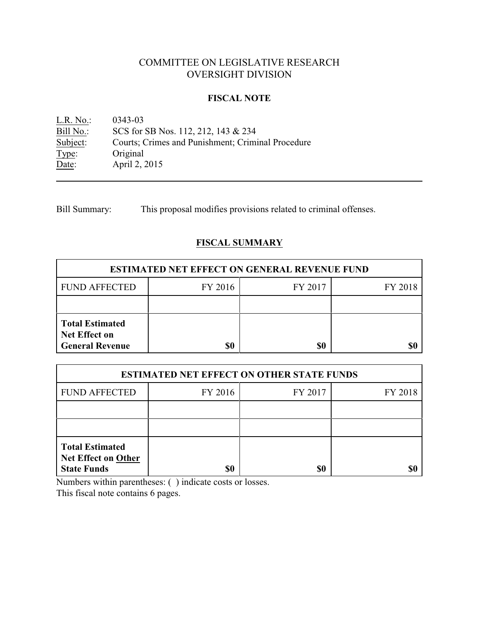# COMMITTEE ON LEGISLATIVE RESEARCH OVERSIGHT DIVISION

### **FISCAL NOTE**

<u>L.R. No.</u>: 0343-03<br>
<u>Bill No.</u>: SCS for SCS for SB Nos. 112, 212, 143 & 234 Subject: Courts; Crimes and Punishment; Criminal Procedure Type: Original Date: April 2, 2015

Bill Summary: This proposal modifies provisions related to criminal offenses.

## **FISCAL SUMMARY**

| <b>ESTIMATED NET EFFECT ON GENERAL REVENUE FUND</b>                      |         |         |         |  |
|--------------------------------------------------------------------------|---------|---------|---------|--|
| <b>FUND AFFECTED</b>                                                     | FY 2016 | FY 2017 | FY 2018 |  |
|                                                                          |         |         |         |  |
| <b>Total Estimated</b><br><b>Net Effect on</b><br><b>General Revenue</b> |         | \$0     |         |  |

| <b>ESTIMATED NET EFFECT ON OTHER STATE FUNDS</b>                           |         |         |         |  |
|----------------------------------------------------------------------------|---------|---------|---------|--|
| <b>FUND AFFECTED</b>                                                       | FY 2016 | FY 2017 | FY 2018 |  |
|                                                                            |         |         |         |  |
|                                                                            |         |         |         |  |
| <b>Total Estimated</b><br><b>Net Effect on Other</b><br><b>State Funds</b> | \$0     | \$0     |         |  |

Numbers within parentheses: ( ) indicate costs or losses.

This fiscal note contains 6 pages.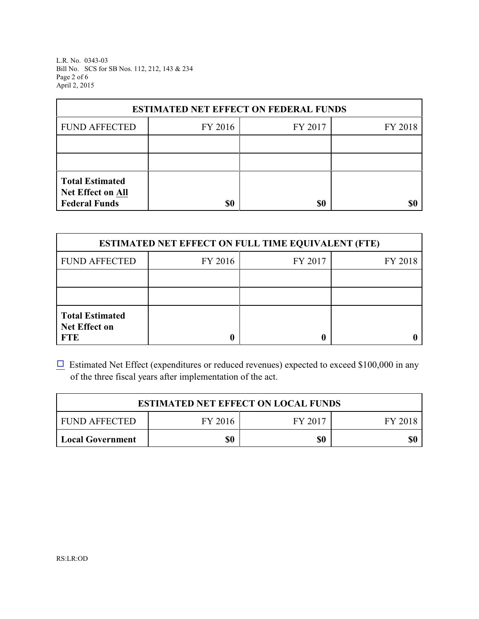L.R. No. 0343-03 Bill No. SCS for SB Nos. 112, 212, 143 & 234 Page 2 of 6 April 2, 2015

| <b>ESTIMATED NET EFFECT ON FEDERAL FUNDS</b> |         |         |         |  |
|----------------------------------------------|---------|---------|---------|--|
| <b>FUND AFFECTED</b>                         | FY 2016 | FY 2017 | FY 2018 |  |
|                                              |         |         |         |  |
|                                              |         |         |         |  |
| <b>Total Estimated</b><br>Net Effect on All  |         |         |         |  |
| <b>Federal Funds</b>                         | \$0     | \$0     | SI)     |  |

| <b>ESTIMATED NET EFFECT ON FULL TIME EQUIVALENT (FTE)</b>    |         |         |         |  |
|--------------------------------------------------------------|---------|---------|---------|--|
| <b>FUND AFFECTED</b>                                         | FY 2016 | FY 2017 | FY 2018 |  |
|                                                              |         |         |         |  |
|                                                              |         |         |         |  |
| <b>Total Estimated</b><br><b>Net Effect on</b><br><b>FTE</b> |         |         |         |  |

 $\Box$  Estimated Net Effect (expenditures or reduced revenues) expected to exceed \$100,000 in any of the three fiscal years after implementation of the act.

| <b>ESTIMATED NET EFFECT ON LOCAL FUNDS</b> |         |         |         |
|--------------------------------------------|---------|---------|---------|
| <b>FUND AFFECTED</b>                       | FY 2016 | FY 2017 | FY 2018 |
| <b>Local Government</b>                    | \$0     | \$0     | \$0     |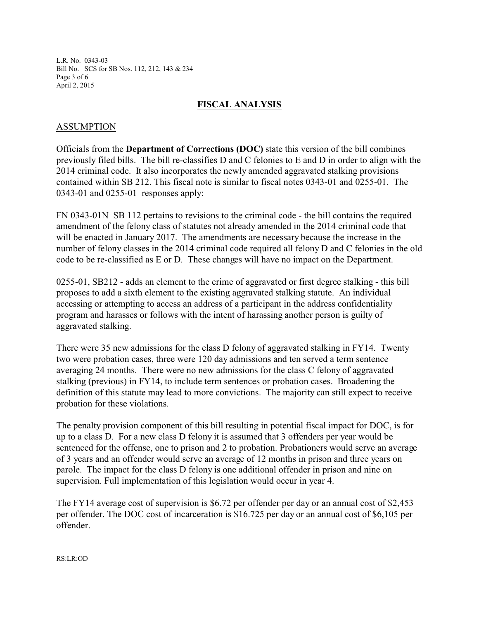L.R. No. 0343-03 Bill No. SCS for SB Nos. 112, 212, 143 & 234 Page 3 of 6 April 2, 2015

#### **FISCAL ANALYSIS**

#### ASSUMPTION

Officials from the **Department of Corrections (DOC)** state this version of the bill combines previously filed bills. The bill re-classifies D and C felonies to E and D in order to align with the 2014 criminal code. It also incorporates the newly amended aggravated stalking provisions contained within SB 212. This fiscal note is similar to fiscal notes 0343-01 and 0255-01. The 0343-01 and 0255-01 responses apply:

FN 0343-01N SB 112 pertains to revisions to the criminal code - the bill contains the required amendment of the felony class of statutes not already amended in the 2014 criminal code that will be enacted in January 2017. The amendments are necessary because the increase in the number of felony classes in the 2014 criminal code required all felony D and C felonies in the old code to be re-classified as E or D. These changes will have no impact on the Department.

0255-01, SB212 - adds an element to the crime of aggravated or first degree stalking - this bill proposes to add a sixth element to the existing aggravated stalking statute. An individual accessing or attempting to access an address of a participant in the address confidentiality program and harasses or follows with the intent of harassing another person is guilty of aggravated stalking.

There were 35 new admissions for the class D felony of aggravated stalking in FY14. Twenty two were probation cases, three were 120 day admissions and ten served a term sentence averaging 24 months. There were no new admissions for the class C felony of aggravated stalking (previous) in FY14, to include term sentences or probation cases. Broadening the definition of this statute may lead to more convictions. The majority can still expect to receive probation for these violations.

The penalty provision component of this bill resulting in potential fiscal impact for DOC, is for up to a class D. For a new class D felony it is assumed that 3 offenders per year would be sentenced for the offense, one to prison and 2 to probation. Probationers would serve an average of 3 years and an offender would serve an average of 12 months in prison and three years on parole. The impact for the class D felony is one additional offender in prison and nine on supervision. Full implementation of this legislation would occur in year 4.

The FY14 average cost of supervision is \$6.72 per offender per day or an annual cost of \$2,453 per offender. The DOC cost of incarceration is \$16.725 per day or an annual cost of \$6,105 per offender.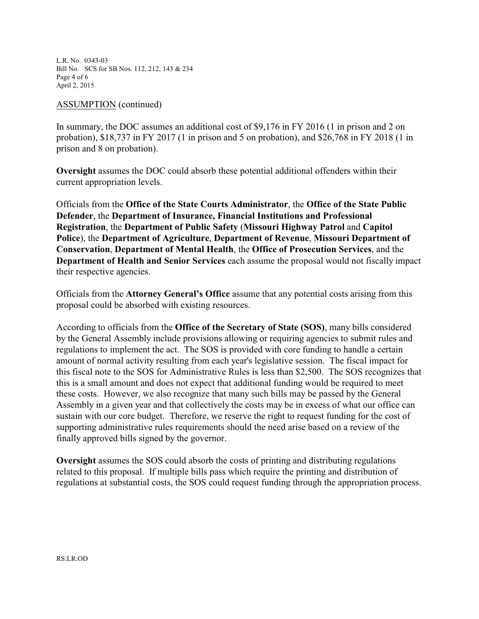L.R. No. 0343-03 Bill No. SCS for SB Nos. 112, 212, 143 & 234 Page 4 of 6 April 2, 2015

#### ASSUMPTION (continued)

In summary, the DOC assumes an additional cost of \$9,176 in FY 2016 (1 in prison and 2 on probation), \$18,737 in FY 2017 (1 in prison and 5 on probation), and \$26,768 in FY 2018 (1 in prison and 8 on probation).

**Oversight** assumes the DOC could absorb these potential additional offenders within their current appropriation levels.

Officials from the **Office of the State Courts Administrator**, the **Office of the State Public Defender**, the **Department of Insurance, Financial Institutions and Professional Registration**, the **Department of Public Safety** (**Missouri Highway Patrol** and **Capitol Police**), the **Department of Agriculture**, **Department of Revenue**, **Missouri Department of Conservation**, **Department of Mental Health**, the **Office of Prosecution Services**, and the **Department of Health and Senior Services** each assume the proposal would not fiscally impact their respective agencies.

Officials from the **Attorney General's Office** assume that any potential costs arising from this proposal could be absorbed with existing resources.

According to officials from the **Office of the Secretary of State (SOS)**, many bills considered by the General Assembly include provisions allowing or requiring agencies to submit rules and regulations to implement the act. The SOS is provided with core funding to handle a certain amount of normal activity resulting from each year's legislative session. The fiscal impact for this fiscal note to the SOS for Administrative Rules is less than \$2,500. The SOS recognizes that this is a small amount and does not expect that additional funding would be required to meet these costs. However, we also recognize that many such bills may be passed by the General Assembly in a given year and that collectively the costs may be in excess of what our office can sustain with our core budget. Therefore, we reserve the right to request funding for the cost of supporting administrative rules requirements should the need arise based on a review of the finally approved bills signed by the governor.

**Oversight** assumes the SOS could absorb the costs of printing and distributing regulations related to this proposal. If multiple bills pass which require the printing and distribution of regulations at substantial costs, the SOS could request funding through the appropriation process.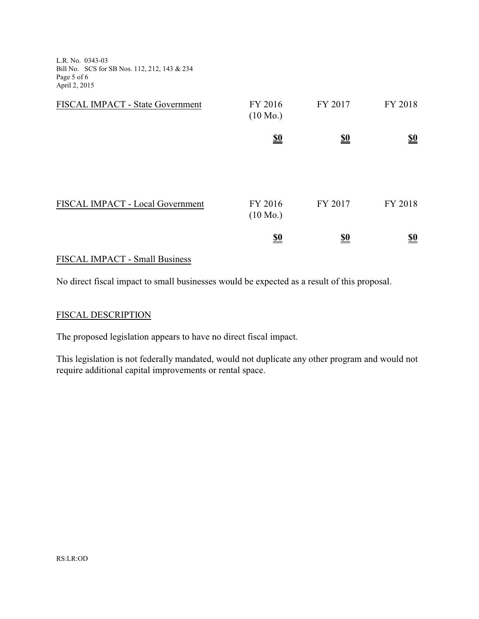L.R. No. 0343-03 Bill No. SCS for SB Nos. 112, 212, 143 & 234 Page 5 of 6 April 2, 2015

| FISCAL IMPACT - State Government | FY 2016<br>$(10 \text{ Mo.})$ | FY 2017    | FY 2018                       |
|----------------------------------|-------------------------------|------------|-------------------------------|
|                                  | $\underline{\underline{\$0}}$ | <u>\$0</u> | $\underline{\underline{\$0}}$ |
|                                  |                               |            |                               |
| FISCAL IMPACT - Local Government | FY 2016<br>$(10 \text{ Mo.})$ | FY 2017    | FY 2018                       |
|                                  | <u>\$0</u>                    | <u>\$0</u> | <u>\$0</u>                    |

## FISCAL IMPACT - Small Business

No direct fiscal impact to small businesses would be expected as a result of this proposal.

### FISCAL DESCRIPTION

The proposed legislation appears to have no direct fiscal impact.

This legislation is not federally mandated, would not duplicate any other program and would not require additional capital improvements or rental space.